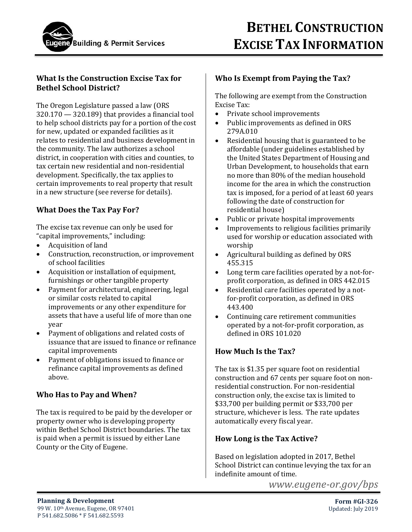

### **What Is the Construction Excise Tax for Bethel School District?**

The Oregon Legislature passed a law (ORS 320.170 — 320.189) that provides a financial tool to help school districts pay for a portion of the cost for new, updated or expanded facilities as it relates to residential and business development in the community. The law authorizes a school district, in cooperation with cities and counties, to tax certain new residential and non-residential development. Specifically, the tax applies to certain improvements to real property that result in a new structure (see reverse for details).

# **What Does the Tax Pay For?**

The excise tax revenue can only be used for "capital improvements," including:

- Acquisition of land
- Construction, reconstruction, or improvement of school facilities
- Acquisition or installation of equipment, furnishings or other tangible property
- Payment for architectural, engineering, legal or similar costs related to capital improvements or any other expenditure for assets that have a useful life of more than one year
- Payment of obligations and related costs of issuance that are issued to finance or refinance capital improvements
- Payment of obligations issued to finance or refinance capital improvements as defined above.

### **Who Has to Pay and When?**

The tax is required to be paid by the developer or property owner who is developing property within Bethel School District boundaries. The tax is paid when a permit is issued by either Lane County or the City of Eugene.

### **Who Is Exempt from Paying the Tax?**

The following are exempt from the Construction Excise Tax:

- Private school improvements
- Public improvements as defined in ORS 279A.010
- Residential housing that is guaranteed to be affordable (under guidelines established by the United States Department of Housing and Urban Development, to households that earn no more than 80% of the median household income for the area in which the construction tax is imposed, for a period of at least 60 years following the date of construction for residential house)
- Public or private hospital improvements
- Improvements to religious facilities primarily used for worship or education associated with worship
- Agricultural building as defined by ORS 455.315
- Long term care facilities operated by a not-forprofit corporation, as defined in ORS 442.015
- Residential care facilities operated by a notfor-profit corporation, as defined in ORS 443.400
- Continuing care retirement communities operated by a not-for-profit corporation, as defined in ORS 101.020

# **How Much Is the Tax?**

The tax is \$1.35 per square foot on residential construction and 67 cents per square foot on nonresidential construction. For non-residential construction only, the excise tax is limited to \$33,700 per building permit or \$33,700 per structure, whichever is less. The rate updates automatically every fiscal year.

### **How Long is the Tax Active?**

Based on legislation adopted in 2017, Bethel School District can continue levying the tax for an indefinite amount of time.

*www.eugene-or.gov/bps*